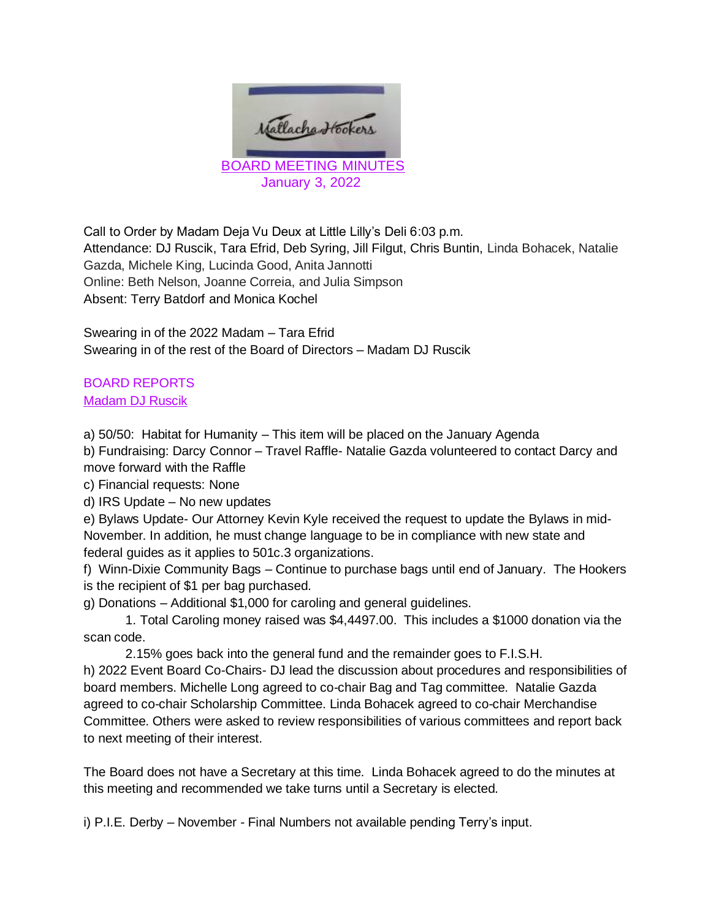

Call to Order by Madam Deja Vu Deux at Little Lilly's Deli 6:03 p.m. Attendance: DJ Ruscik, Tara Efrid, Deb Syring, Jill Filgut, Chris Buntin, Linda Bohacek, Natalie Gazda, Michele King, Lucinda Good, Anita Jannotti Online: Beth Nelson, Joanne Correia, and Julia Simpson Absent: Terry Batdorf and Monica Kochel

Swearing in of the 2022 Madam – Tara Efrid Swearing in of the rest of the Board of Directors – Madam DJ Ruscik

### BOARD REPORTS Madam DJ Ruscik

a) 50/50: Habitat for Humanity – This item will be placed on the January Agenda

b) Fundraising: Darcy Connor – Travel Raffle- Natalie Gazda volunteered to contact Darcy and move forward with the Raffle

c) Financial requests: None

d) IRS Update – No new updates

e) Bylaws Update- Our Attorney Kevin Kyle received the request to update the Bylaws in mid-November. In addition, he must change language to be in compliance with new state and federal guides as it applies to 501c.3 organizations.

f) Winn-Dixie Community Bags – Continue to purchase bags until end of January. The Hookers is the recipient of \$1 per bag purchased.

g) Donations – Additional \$1,000 for caroling and general guidelines.

1. Total Caroling money raised was \$4,4497.00. This includes a \$1000 donation via the scan code.

2.15% goes back into the general fund and the remainder goes to F.I.S.H.

h) 2022 Event Board Co-Chairs- DJ lead the discussion about procedures and responsibilities of board members. Michelle Long agreed to co-chair Bag and Tag committee. Natalie Gazda agreed to co-chair Scholarship Committee. Linda Bohacek agreed to co-chair Merchandise Committee. Others were asked to review responsibilities of various committees and report back to next meeting of their interest.

The Board does not have a Secretary at this time. Linda Bohacek agreed to do the minutes at this meeting and recommended we take turns until a Secretary is elected.

i) P.I.E. Derby – November - Final Numbers not available pending Terry's input.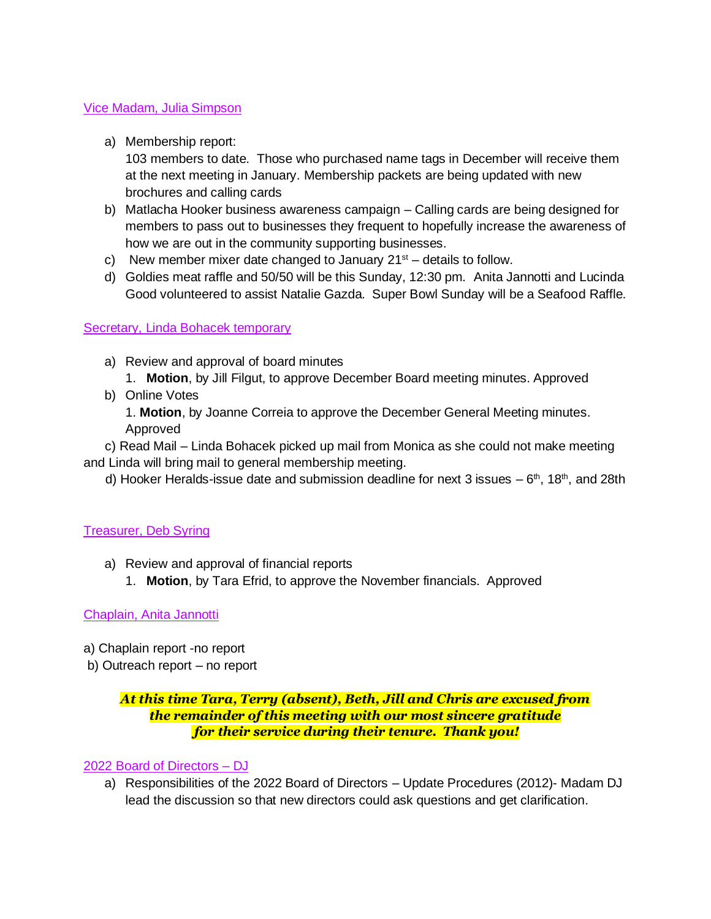### Vice Madam, Julia Simpson

a) Membership report:

103 members to date. Those who purchased name tags in December will receive them at the next meeting in January. Membership packets are being updated with new brochures and calling cards

- b) Matlacha Hooker business awareness campaign Calling cards are being designed for members to pass out to businesses they frequent to hopefully increase the awareness of how we are out in the community supporting businesses.
- c) New member mixer date changed to January  $21<sup>st</sup>$  details to follow.
- d) Goldies meat raffle and 50/50 will be this Sunday, 12:30 pm. Anita Jannotti and Lucinda Good volunteered to assist Natalie Gazda. Super Bowl Sunday will be a Seafood Raffle.

### Secretary, Linda Bohacek temporary

- a) Review and approval of board minutes
	- 1. **Motion**, by Jill Filgut, to approve December Board meeting minutes. Approved
- b) Online Votes

1. **Motion**, by Joanne Correia to approve the December General Meeting minutes. Approved

 c) Read Mail – Linda Bohacek picked up mail from Monica as she could not make meeting and Linda will bring mail to general membership meeting.

d) Hooker Heralds-issue date and submission deadline for next 3 issues  $-6<sup>th</sup>$ , 18<sup>th</sup>, and 28th

### Treasurer, Deb Syring

- a) Review and approval of financial reports
	- 1. **Motion**, by Tara Efrid, to approve the November financials. Approved

### Chaplain, Anita Jannotti

- a) Chaplain report -no report
- b) Outreach report no report

### *At this time Tara, Terry (absent), Beth, Jill and Chris are excused from the remainder of this meeting with our most sincere gratitude for their service during their tenure. Thank you!*

### 2022 Board of Directors – DJ

a) Responsibilities of the 2022 Board of Directors – Update Procedures (2012)- Madam DJ lead the discussion so that new directors could ask questions and get clarification.